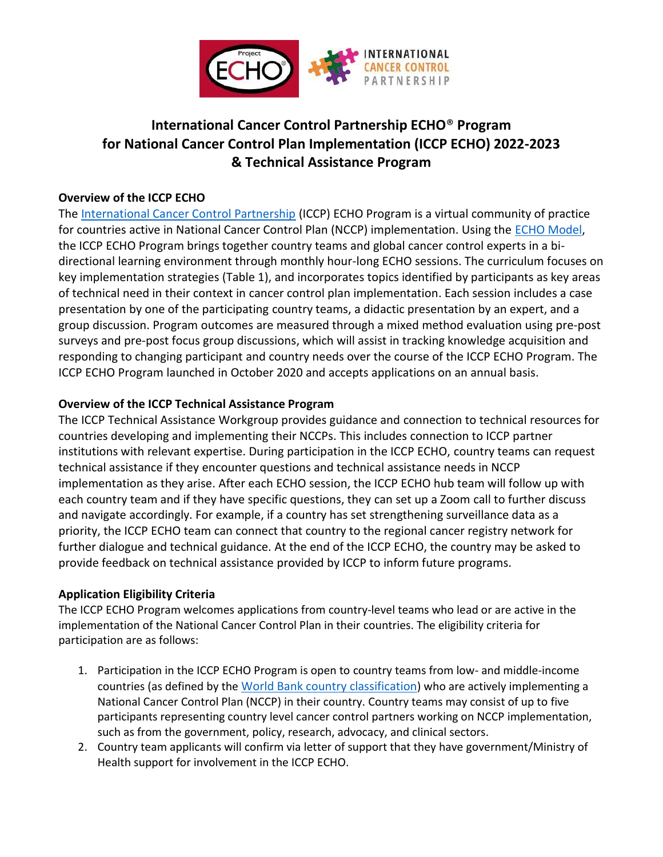

# **International Cancer Control Partnership ECHO**® **Program for National Cancer Control Plan Implementation (ICCP ECHO) 2022-2023 & Technical Assistance Program**

#### **Overview of the ICCP ECHO**

The [International Cancer Control Partnership](https://www.iccp-portal.org/) (ICCP) ECHO Program is a virtual community of practice for countries active in National Cancer Control Plan (NCCP) implementation. Using the [ECHO Model,](https://www.youtube.com/watch?v=Faz3O1clDMU) the ICCP ECHO Program brings together country teams and global cancer control experts in a bidirectional learning environment through monthly hour-long ECHO sessions. The curriculum focuses on key implementation strategies (Table 1), and incorporates topics identified by participants as key areas of technical need in their context in cancer control plan implementation. Each session includes a case presentation by one of the participating country teams, a didactic presentation by an expert, and a group discussion. Program outcomes are measured through a mixed method evaluation using pre-post surveys and pre-post focus group discussions, which will assist in tracking knowledge acquisition and responding to changing participant and country needs over the course of the ICCP ECHO Program. The ICCP ECHO Program launched in October 2020 and accepts applications on an annual basis.

## **Overview of the ICCP Technical Assistance Program**

The ICCP Technical Assistance Workgroup provides guidance and connection to technical resources for countries developing and implementing their NCCPs. This includes connection to ICCP partner institutions with relevant expertise. During participation in the ICCP ECHO, country teams can request technical assistance if they encounter questions and technical assistance needs in NCCP implementation as they arise. After each ECHO session, the ICCP ECHO hub team will follow up with each country team and if they have specific questions, they can set up a Zoom call to further discuss and navigate accordingly. For example, if a country has set strengthening surveillance data as a priority, the ICCP ECHO team can connect that country to the regional cancer registry network for further dialogue and technical guidance. At the end of the ICCP ECHO, the country may be asked to provide feedback on technical assistance provided by ICCP to inform future programs.

## **Application Eligibility Criteria**

The ICCP ECHO Program welcomes applications from country-level teams who lead or are active in the implementation of the National Cancer Control Plan in their countries. The eligibility criteria for participation are as follows:

- 1. Participation in the ICCP ECHO Program is open to country teams from low- and middle-income countries (as defined by the [World Bank country classification](https://datahelpdesk.worldbank.org/knowledgebase/articles/906519)) who are actively implementing a National Cancer Control Plan (NCCP) in their country. Country teams may consist of up to five participants representing country level cancer control partners working on NCCP implementation, such as from the government, policy, research, advocacy, and clinical sectors.
- 2. Country team applicants will confirm via letter of support that they have government/Ministry of Health support for involvement in the ICCP ECHO.